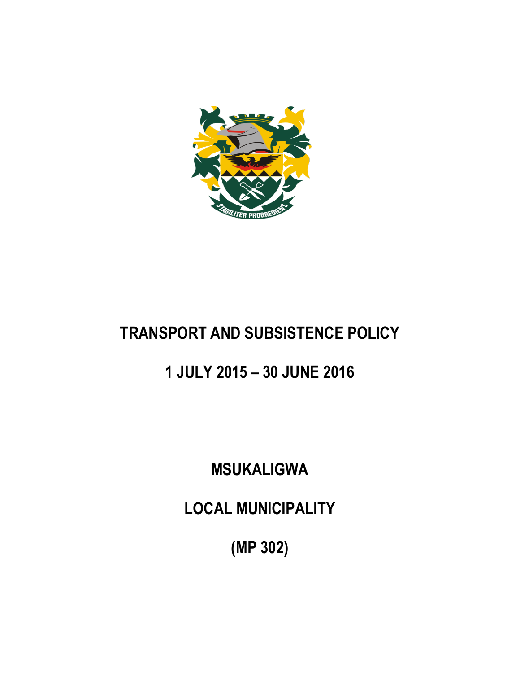

# **TRANSPORT AND SUBSISTENCE POLICY**

# **1 JULY 2015 – 30 JUNE 2016**

# **MSUKALIGWA**

**LOCAL MUNICIPALITY**

**(MP 302)**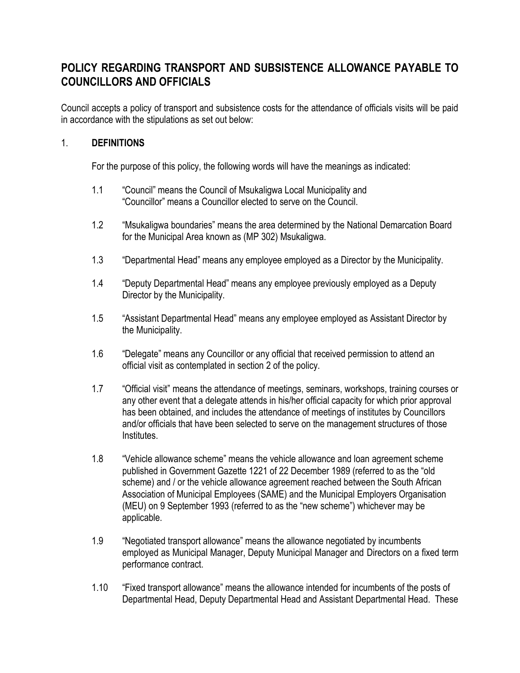# **POLICY REGARDING TRANSPORT AND SUBSISTENCE ALLOWANCE PAYABLE TO COUNCILLORS AND OFFICIALS**

Council accepts a policy of transport and subsistence costs for the attendance of officials visits will be paid in accordance with the stipulations as set out below:

#### 1. **DEFINITIONS**

For the purpose of this policy, the following words will have the meanings as indicated:

- 1.1 "Council" means the Council of Msukaligwa Local Municipality and "Councillor" means a Councillor elected to serve on the Council.
- 1.2 "Msukaligwa boundaries" means the area determined by the National Demarcation Board for the Municipal Area known as (MP 302) Msukaligwa.
- 1.3 "Departmental Head" means any employee employed as a Director by the Municipality.
- 1.4 "Deputy Departmental Head" means any employee previously employed as a Deputy Director by the Municipality.
- 1.5 "Assistant Departmental Head" means any employee employed as Assistant Director by the Municipality.
- 1.6 "Delegate" means any Councillor or any official that received permission to attend an official visit as contemplated in section 2 of the policy.
- 1.7 "Official visit" means the attendance of meetings, seminars, workshops, training courses or any other event that a delegate attends in his/her official capacity for which prior approval has been obtained, and includes the attendance of meetings of institutes by Councillors and/or officials that have been selected to serve on the management structures of those Institutes.
- 1.8 "Vehicle allowance scheme" means the vehicle allowance and loan agreement scheme published in Government Gazette 1221 of 22 December 1989 (referred to as the "old scheme) and / or the vehicle allowance agreement reached between the South African Association of Municipal Employees (SAME) and the Municipal Employers Organisation (MEU) on 9 September 1993 (referred to as the "new scheme") whichever may be applicable.
- 1.9 "Negotiated transport allowance" means the allowance negotiated by incumbents employed as Municipal Manager, Deputy Municipal Manager and Directors on a fixed term performance contract.
- 1.10 "Fixed transport allowance" means the allowance intended for incumbents of the posts of Departmental Head, Deputy Departmental Head and Assistant Departmental Head. These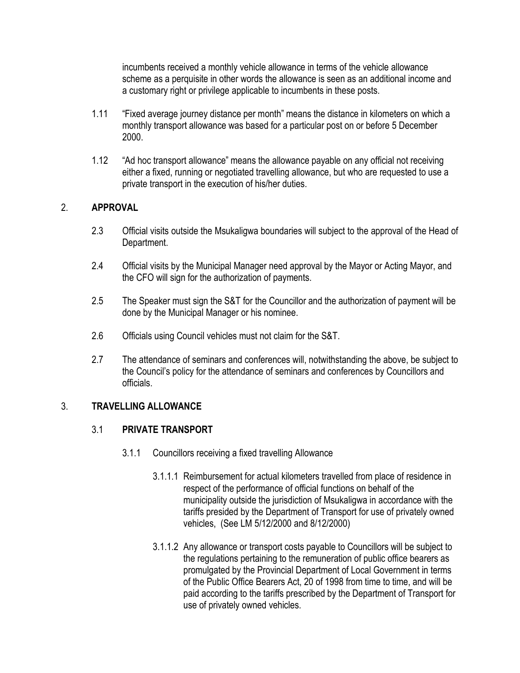incumbents received a monthly vehicle allowance in terms of the vehicle allowance scheme as a perquisite in other words the allowance is seen as an additional income and a customary right or privilege applicable to incumbents in these posts.

- 1.11 "Fixed average journey distance per month" means the distance in kilometers on which a monthly transport allowance was based for a particular post on or before 5 December 2000.
- 1.12 "Ad hoc transport allowance" means the allowance payable on any official not receiving either a fixed, running or negotiated travelling allowance, but who are requested to use a private transport in the execution of his/her duties.

#### 2. **APPROVAL**

- 2.3 Official visits outside the Msukaligwa boundaries will subject to the approval of the Head of Department.
- 2.4 Official visits by the Municipal Manager need approval by the Mayor or Acting Mayor, and the CFO will sign for the authorization of payments.
- 2.5 The Speaker must sign the S&T for the Councillor and the authorization of payment will be done by the Municipal Manager or his nominee.
- 2.6 Officials using Council vehicles must not claim for the S&T.
- 2.7 The attendance of seminars and conferences will, notwithstanding the above, be subject to the Council's policy for the attendance of seminars and conferences by Councillors and officials.

#### 3. **TRAVELLING ALLOWANCE**

#### 3.1 **PRIVATE TRANSPORT**

- 3.1.1 Councillors receiving a fixed travelling Allowance
	- 3.1.1.1 Reimbursement for actual kilometers travelled from place of residence in respect of the performance of official functions on behalf of the municipality outside the jurisdiction of Msukaligwa in accordance with the tariffs presided by the Department of Transport for use of privately owned vehicles, (See LM 5/12/2000 and 8/12/2000)
	- 3.1.1.2 Any allowance or transport costs payable to Councillors will be subject to the regulations pertaining to the remuneration of public office bearers as promulgated by the Provincial Department of Local Government in terms of the Public Office Bearers Act, 20 of 1998 from time to time, and will be paid according to the tariffs prescribed by the Department of Transport for use of privately owned vehicles.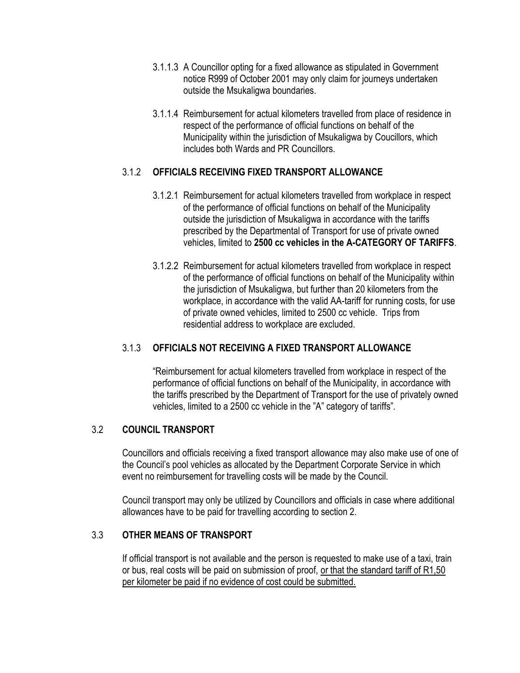- 3.1.1.3 A Councillor opting for a fixed allowance as stipulated in Government notice R999 of October 2001 may only claim for journeys undertaken outside the Msukaligwa boundaries.
- 3.1.1.4 Reimbursement for actual kilometers travelled from place of residence in respect of the performance of official functions on behalf of the Municipality within the jurisdiction of Msukaligwa by Coucillors, which includes both Wards and PR Councillors.

#### 3.1.2 **OFFICIALS RECEIVING FIXED TRANSPORT ALLOWANCE**

- 3.1.2.1 Reimbursement for actual kilometers travelled from workplace in respect of the performance of official functions on behalf of the Municipality outside the jurisdiction of Msukaligwa in accordance with the tariffs prescribed by the Departmental of Transport for use of private owned vehicles, limited to **2500 cc vehicles in the A-CATEGORY OF TARIFFS**.
- 3.1.2.2 Reimbursement for actual kilometers travelled from workplace in respect of the performance of official functions on behalf of the Municipality within the jurisdiction of Msukaligwa, but further than 20 kilometers from the workplace, in accordance with the valid AA-tariff for running costs, for use of private owned vehicles, limited to 2500 cc vehicle. Trips from residential address to workplace are excluded.

#### 3.1.3 **OFFICIALS NOT RECEIVING A FIXED TRANSPORT ALLOWANCE**

"Reimbursement for actual kilometers travelled from workplace in respect of the performance of official functions on behalf of the Municipality, in accordance with the tariffs prescribed by the Department of Transport for the use of privately owned vehicles, limited to a 2500 cc vehicle in the "A" category of tariffs".

#### 3.2 **COUNCIL TRANSPORT**

Councillors and officials receiving a fixed transport allowance may also make use of one of the Council's pool vehicles as allocated by the Department Corporate Service in which event no reimbursement for travelling costs will be made by the Council.

Council transport may only be utilized by Councillors and officials in case where additional allowances have to be paid for travelling according to section 2.

#### 3.3 **OTHER MEANS OF TRANSPORT**

If official transport is not available and the person is requested to make use of a taxi, train or bus, real costs will be paid on submission of proof, or that the standard tariff of R1,50 per kilometer be paid if no evidence of cost could be submitted.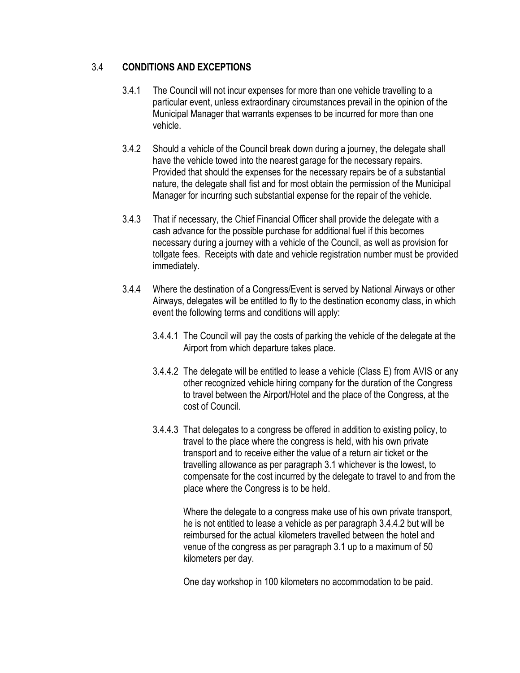### 3.4 **CONDITIONS AND EXCEPTIONS**

- 3.4.1 The Council will not incur expenses for more than one vehicle travelling to a particular event, unless extraordinary circumstances prevail in the opinion of the Municipal Manager that warrants expenses to be incurred for more than one vehicle.
- 3.4.2 Should a vehicle of the Council break down during a journey, the delegate shall have the vehicle towed into the nearest garage for the necessary repairs. Provided that should the expenses for the necessary repairs be of a substantial nature, the delegate shall fist and for most obtain the permission of the Municipal Manager for incurring such substantial expense for the repair of the vehicle.
- 3.4.3 That if necessary, the Chief Financial Officer shall provide the delegate with a cash advance for the possible purchase for additional fuel if this becomes necessary during a journey with a vehicle of the Council, as well as provision for tollgate fees. Receipts with date and vehicle registration number must be provided immediately.
- 3.4.4 Where the destination of a Congress/Event is served by National Airways or other Airways, delegates will be entitled to fly to the destination economy class, in which event the following terms and conditions will apply:
	- 3.4.4.1 The Council will pay the costs of parking the vehicle of the delegate at the Airport from which departure takes place.
	- 3.4.4.2 The delegate will be entitled to lease a vehicle (Class E) from AVIS or any other recognized vehicle hiring company for the duration of the Congress to travel between the Airport/Hotel and the place of the Congress, at the cost of Council.
	- 3.4.4.3 That delegates to a congress be offered in addition to existing policy, to travel to the place where the congress is held, with his own private transport and to receive either the value of a return air ticket or the travelling allowance as per paragraph 3.1 whichever is the lowest, to compensate for the cost incurred by the delegate to travel to and from the place where the Congress is to be held.

Where the delegate to a congress make use of his own private transport, he is not entitled to lease a vehicle as per paragraph 3.4.4.2 but will be reimbursed for the actual kilometers travelled between the hotel and venue of the congress as per paragraph 3.1 up to a maximum of 50 kilometers per day.

One day workshop in 100 kilometers no accommodation to be paid.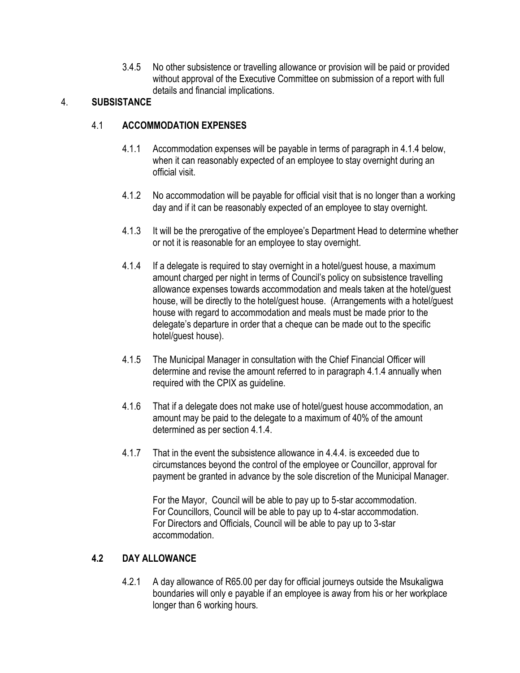3.4.5 No other subsistence or travelling allowance or provision will be paid or provided without approval of the Executive Committee on submission of a report with full details and financial implications.

# 4. **SUBSISTANCE**

# 4.1 **ACCOMMODATION EXPENSES**

- 4.1.1 Accommodation expenses will be payable in terms of paragraph in 4.1.4 below, when it can reasonably expected of an employee to stay overnight during an official visit.
- 4.1.2 No accommodation will be payable for official visit that is no longer than a working day and if it can be reasonably expected of an employee to stay overnight.
- 4.1.3 It will be the prerogative of the employee's Department Head to determine whether or not it is reasonable for an employee to stay overnight.
- 4.1.4 If a delegate is required to stay overnight in a hotel/guest house, a maximum amount charged per night in terms of Council's policy on subsistence travelling allowance expenses towards accommodation and meals taken at the hotel/guest house, will be directly to the hotel/guest house. (Arrangements with a hotel/guest house with regard to accommodation and meals must be made prior to the delegate's departure in order that a cheque can be made out to the specific hotel/guest house).
- 4.1.5 The Municipal Manager in consultation with the Chief Financial Officer will determine and revise the amount referred to in paragraph 4.1.4 annually when required with the CPIX as guideline.
- 4.1.6 That if a delegate does not make use of hotel/guest house accommodation, an amount may be paid to the delegate to a maximum of 40% of the amount determined as per section 4.1.4.
- 4.1.7 That in the event the subsistence allowance in 4.4.4. is exceeded due to circumstances beyond the control of the employee or Councillor, approval for payment be granted in advance by the sole discretion of the Municipal Manager.

For the Mayor, Council will be able to pay up to 5-star accommodation. For Councillors, Council will be able to pay up to 4-star accommodation. For Directors and Officials, Council will be able to pay up to 3-star accommodation.

# **4.2 DAY ALLOWANCE**

4.2.1 A day allowance of R65.00 per day for official journeys outside the Msukaligwa boundaries will only e payable if an employee is away from his or her workplace longer than 6 working hours.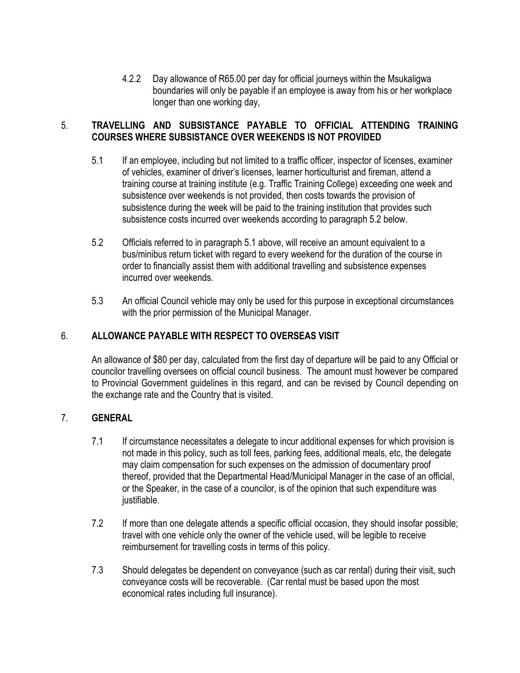4.2.2 Day allowance of R65.00 per day for official journeys within the Msukaligwa boundaries will only be payable if an employee is away from his or her workplace longer than one working day,

### 5. **TRAVELLING AND SUBSISTANCE PAYABLE TO OFFICIAL ATTENDING TRAINING COURSES WHERE SUBSISTANCE OVER WEEKENDS IS NOT PROVIDED**

- 5.1 If an employee, including but not limited to a traffic officer, inspector of licenses, examiner of vehicles, examiner of driver's licenses, learner horticulturist and fireman, attend a training course at training institute (e.g. Traffic Training College) exceeding one week and subsistence over weekends is not provided, then costs towards the provision of subsistence during the week will be paid to the training institution that provides such subsistence costs incurred over weekends according to paragraph 5.2 below.
- 5.2 Officials referred to in paragraph 5.1 above, will receive an amount equivalent to a bus/minibus return ticket with regard to every weekend for the duration of the course in order to financially assist them with additional travelling and subsistence expenses incurred over weekends.
- 5.3 An official Council vehicle may only be used for this purpose in exceptional circumstances with the prior permission of the Municipal Manager.

# 6. **ALLOWANCE PAYABLE WITH RESPECT TO OVERSEAS VISIT**

An allowance of \$80 per day, calculated from the first day of departure will be paid to any Official or councilor travelling oversees on official council business. The amount must however be compared to Provincial Government guidelines in this regard, and can be revised by Council depending on the exchange rate and the Country that is visited.

#### 7. **GENERAL**

- 7.1 If circumstance necessitates a delegate to incur additional expenses for which provision is not made in this policy, such as toll fees, parking fees, additional meals, etc, the delegate may claim compensation for such expenses on the admission of documentary proof thereof, provided that the Departmental Head/Municipal Manager in the case of an official, or the Speaker, in the case of a councilor, is of the opinion that such expenditure was justifiable.
- 7.2 If more than one delegate attends a specific official occasion, they should insofar possible; travel with one vehicle only the owner of the vehicle used, will be legible to receive reimbursement for travelling costs in terms of this policy.
- 7.3 Should delegates be dependent on conveyance (such as car rental) during their visit, such conveyance costs will be recoverable. (Car rental must be based upon the most economical rates including full insurance).